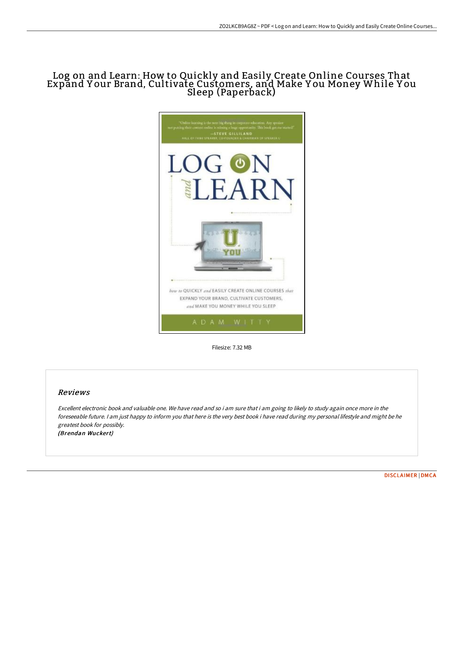## Log on and Learn: How to Quickly and Easily Create Online Courses That Expand Y our Brand, Cultivate Customers, and Make Y ou Money While Y ou Sleep (Paperback)



Filesize: 7.32 MB

## Reviews

Excellent electronic book and valuable one. We have read and so i am sure that i am going to likely to study again once more in the foreseeable future. <sup>I</sup> am just happy to inform you that here is the very best book i have read during my personal lifestyle and might be he greatest book for possibly. (Brendan Wuckert)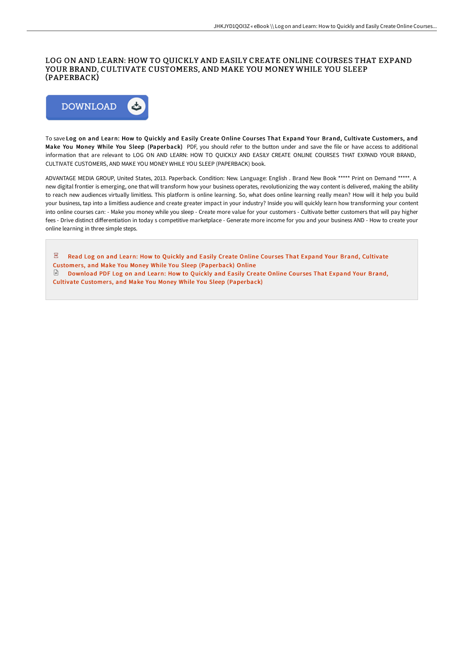## LOG ON AND LEARN: HOW TO QUICKLY AND EASILY CREATE ONLINE COURSES THAT EXPAND YOUR BRAND, CULTIVATE CUSTOMERS, AND MAKE YOU MONEY WHILE YOU SLEEP (PAPERBACK)



To save Log on and Learn: How to Quickly and Easily Create Online Courses That Expand Your Brand, Cultivate Customers, and Make You Money While You Sleep (Paperback) PDF, you should refer to the button under and save the file or have access to additional information that are relevant to LOG ON AND LEARN: HOW TO QUICKLY AND EASILY CREATE ONLINE COURSES THAT EXPAND YOUR BRAND, CULTIVATE CUSTOMERS, AND MAKE YOU MONEY WHILE YOU SLEEP (PAPERBACK) book.

ADVANTAGE MEDIA GROUP, United States, 2013. Paperback. Condition: New. Language: English . Brand New Book \*\*\*\*\* Print on Demand \*\*\*\*\*. A new digital frontier is emerging, one that will transform how your business operates, revolutionizing the way content is delivered, making the ability to reach new audiences virtually limitless. This platform is online learning. So, what does online learning really mean? How will it help you build your business, tap into a limitless audience and create greater impact in your industry? Inside you will quickly learn how transforming your content into online courses can: - Make you money while you sleep - Create more value for your customers - Cultivate better customers that will pay higher fees - Drive distinct differentiation in today s competitive marketplace - Generate more income for you and your business AND - How to create your online learning in three simple steps.

 $\overline{\text{pos}}$ Read Log on and Learn: How to Quickly and Easily Create Online Courses That Expand Your Brand, Cultivate Customers, and Make You Money While You Sleep [\(Paperback\)](http://www.bookdirs.com/log-on-and-learn-how-to-quickly-and-easily-creat.html) Online Download PDF Log on and Learn: How to Quickly and Easily Create Online Courses That Expand Your Brand, Cultivate Customers, and Make You Money While You Sleep [\(Paperback\)](http://www.bookdirs.com/log-on-and-learn-how-to-quickly-and-easily-creat.html)